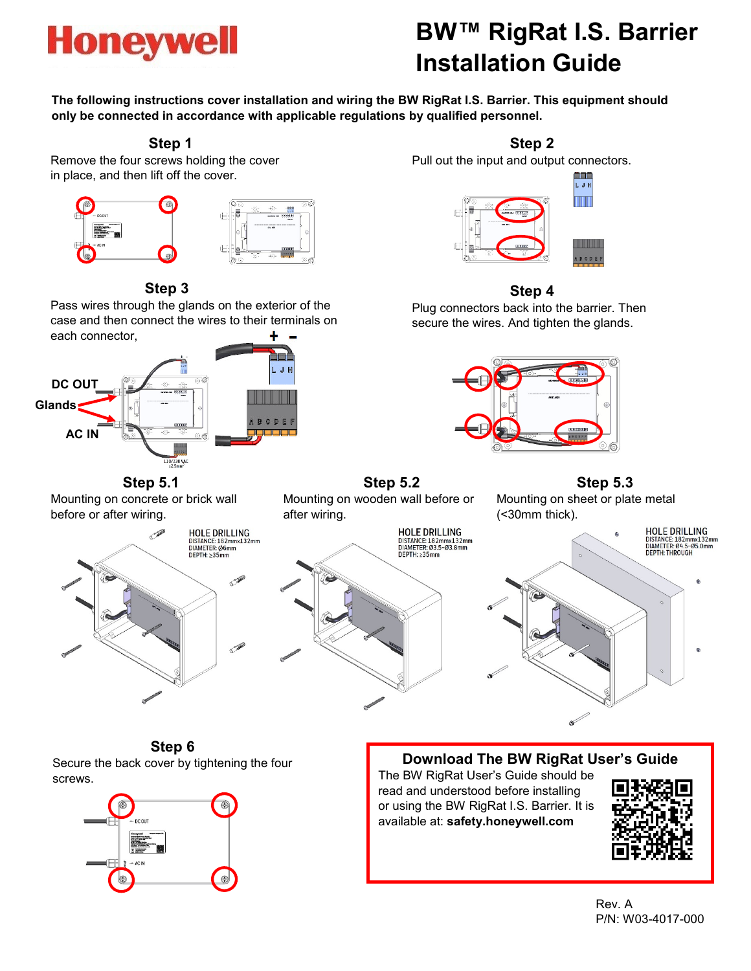

# **BW™ RigRat I.S. Barrier Installation Guide**

**The following instructions cover installation and wiring the BW RigRat I.S. Barrier. This equipment should only be connected in accordance with applicable regulations by qualified personnel.**

**Step 1**

Remove the four screws holding the cover in place, and then lift off the cover.





 **Step 3**

Pass wires through the glands on the exterior of the case and then connect the wires to their terminals on each connector,



### **Step 5.1**

Mounting on concrete or brick wall before or after wiring.



**Step 5.2** Mounting on wooden wall before or after wiring.

**Step 2** Pull out the input and output connectors. <u>êna</u>



## **Step 4**

Plug connectors back into the barrier. Then secure the wires. And tighten the glands.



## **Step 5.3**

Mounting on sheet or plate metal (<30mm thick).



## **Step 6**

Secure the back cover by tightening the four screws.



## **Download The BW RigRat User's Guide**

The BW RigRat User's Guide should be read and understood before installing or using the BW RigRat I.S. Barrier. It is available at: **safety.honeywell.com**



Rev. A P/N: W03-4017-000